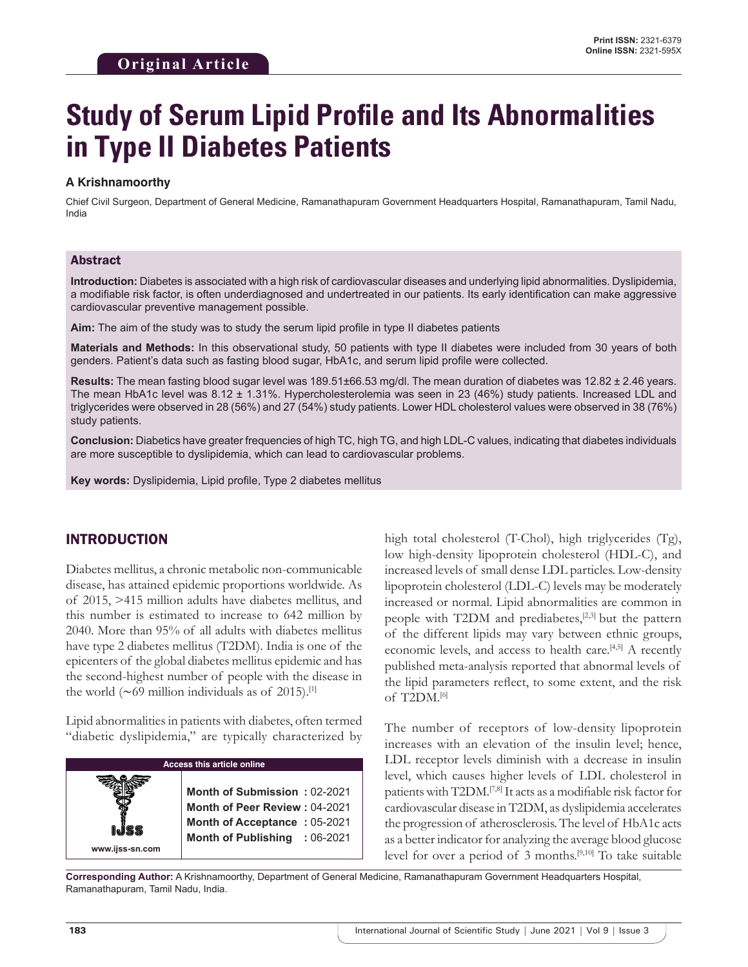# **Study of Serum Lipid Profile and Its Abnormalities in Type II Diabetes Patients**

#### **A Krishnamoorthy**

Chief Civil Surgeon, Department of General Medicine, Ramanathapuram Government Headquarters Hospital, Ramanathapuram, Tamil Nadu, India

#### Abstract

**Introduction:** Diabetes is associated with a high risk of cardiovascular diseases and underlying lipid abnormalities. Dyslipidemia, a modifiable risk factor, is often underdiagnosed and undertreated in our patients. Its early identification can make aggressive cardiovascular preventive management possible.

**Aim:** The aim of the study was to study the serum lipid profile in type II diabetes patients

**Materials and Methods:** In this observational study, 50 patients with type II diabetes were included from 30 years of both genders. Patient's data such as fasting blood sugar, HbA1c, and serum lipid profile were collected.

**Results:** The mean fasting blood sugar level was 189.51±66.53 mg/dl. The mean duration of diabetes was 12.82 ± 2.46 years. The mean HbA1c level was 8.12 ± 1.31%. Hypercholesterolemia was seen in 23 (46%) study patients. Increased LDL and triglycerides were observed in 28 (56%) and 27 (54%) study patients. Lower HDL cholesterol values were observed in 38 (76%) study patients.

**Conclusion:** Diabetics have greater frequencies of high TC, high TG, and high LDL-C values, indicating that diabetes individuals are more susceptible to dyslipidemia, which can lead to cardiovascular problems.

**Key words:** Dyslipidemia, Lipid profile, Type 2 diabetes mellitus

# INTRODUCTION

Diabetes mellitus, a chronic metabolic non-communicable disease, has attained epidemic proportions worldwide. As of 2015, >415 million adults have diabetes mellitus, and this number is estimated to increase to 642 million by 2040. More than 95% of all adults with diabetes mellitus have type 2 diabetes mellitus (T2DM). India is one of the epicenters of the global diabetes mellitus epidemic and has the second-highest number of people with the disease in the world ( $∼69$  million individuals as of 2015).<sup>[1]</sup>

Lipid abnormalities in patients with diabetes, often termed "diabetic dyslipidemia," are typically characterized by

| Access this article online |                                                                                                                                       |  |  |
|----------------------------|---------------------------------------------------------------------------------------------------------------------------------------|--|--|
| www.ijss-sn.com            | Month of Submission: 02-2021<br>Month of Peer Review: 04-2021<br><b>Month of Acceptance: 05-2021</b><br>Month of Publishing : 06-2021 |  |  |

high total cholesterol (T-Chol), high triglycerides (Tg), low high-density lipoprotein cholesterol (HDL-C), and increased levels of small dense LDL particles. Low-density lipoprotein cholesterol (LDL-C) levels may be moderately increased or normal. Lipid abnormalities are common in people with T2DM and prediabetes,<sup>[2,3]</sup> but the pattern of the different lipids may vary between ethnic groups, economic levels, and access to health care.[4,5] A recently published meta-analysis reported that abnormal levels of the lipid parameters reflect, to some extent, and the risk of T2DM.[6]

The number of receptors of low-density lipoprotein increases with an elevation of the insulin level; hence, LDL receptor levels diminish with a decrease in insulin level, which causes higher levels of LDL cholesterol in patients with T2DM.[7,8] It acts as a modifiable risk factor for cardiovascular disease in T2DM, as dyslipidemia accelerates the progression of atherosclerosis. The level of HbA1c acts as a better indicator for analyzing the average blood glucose level for over a period of  $3$  months.<sup>[9,10]</sup> To take suitable

**Corresponding Author:** A Krishnamoorthy, Department of General Medicine, Ramanathapuram Government Headquarters Hospital, Ramanathapuram, Tamil Nadu, India.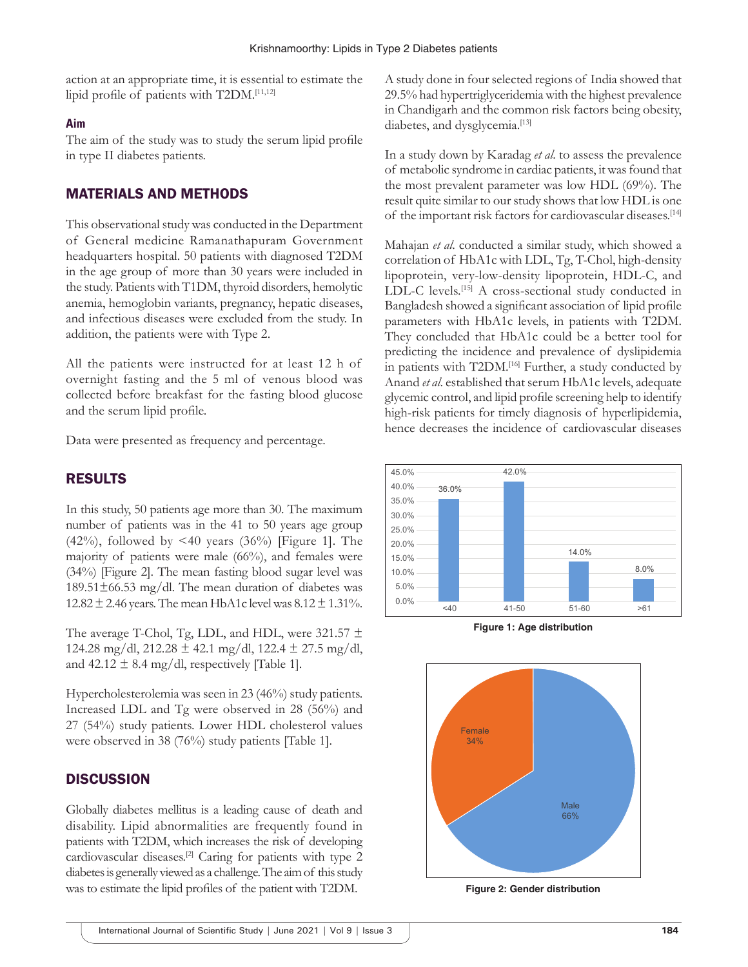action at an appropriate time, it is essential to estimate the lipid profile of patients with T2DM.[11,12]

#### **Aim**

The aim of the study was to study the serum lipid profile in type II diabetes patients.

## MATERIALS AND METHODS

This observational study was conducted in the Department of General medicine Ramanathapuram Government headquarters hospital. 50 patients with diagnosed T2DM in the age group of more than 30 years were included in the study. Patients with T1DM, thyroid disorders, hemolytic anemia, hemoglobin variants, pregnancy, hepatic diseases, and infectious diseases were excluded from the study. In addition, the patients were with Type 2.

All the patients were instructed for at least 12 h of overnight fasting and the 5 ml of venous blood was collected before breakfast for the fasting blood glucose and the serum lipid profile.

Data were presented as frequency and percentage.

## RESULTS

In this study, 50 patients age more than 30. The maximum number of patients was in the 41 to 50 years age group  $(42\%)$ , followed by <40 years  $(36\%)$  [Figure 1]. The majority of patients were male (66%), and females were (34%) [Figure 2]. The mean fasting blood sugar level was  $189.51\pm66.53$  mg/dl. The mean duration of diabetes was 12.82  $\pm$  2.46 years. The mean HbA1c level was  $8.12 \pm 1.31\%$ .

The average T-Chol, Tg, LDL, and HDL, were 321.57  $\pm$ 124.28 mg/dl, 212.28  $\pm$  42.1 mg/dl, 122.4  $\pm$  27.5 mg/dl, and  $42.12 \pm 8.4$  mg/dl, respectively [Table 1].

Hypercholesterolemia was seen in 23 (46%) study patients. Increased LDL and Tg were observed in 28 (56%) and 27 (54%) study patients. Lower HDL cholesterol values were observed in 38 (76%) study patients [Table 1].

## **DISCUSSION**

Globally diabetes mellitus is a leading cause of death and disability. Lipid abnormalities are frequently found in patients with T2DM, which increases the risk of developing cardiovascular diseases.<sup>[2]</sup> Caring for patients with type 2 diabetes is generally viewed as a challenge. The aim of this study was to estimate the lipid profiles of the patient with T2DM.

A study done in four selected regions of India showed that 29.5% had hypertriglyceridemia with the highest prevalence in Chandigarh and the common risk factors being obesity, diabetes, and dysglycemia.<sup>[13]</sup>

In a study down by Karadag *et al*. to assess the prevalence of metabolic syndrome in cardiac patients, it was found that the most prevalent parameter was low HDL (69%). The result quite similar to our study shows that low HDL is one of the important risk factors for cardiovascular diseases.[14]

Mahajan *et al*. conducted a similar study, which showed a correlation of HbA1c with LDL, Tg, T-Chol, high-density lipoprotein, very-low-density lipoprotein, HDL-C, and LDL-C levels.<sup>[15]</sup> A cross-sectional study conducted in Bangladesh showed a significant association of lipid profile parameters with HbA1c levels, in patients with T2DM. They concluded that HbA1c could be a better tool for predicting the incidence and prevalence of dyslipidemia in patients with T2DM.[16] Further, a study conducted by Anand *et al*. established that serum HbA1c levels, adequate glycemic control, and lipid profile screening help to identify high-risk patients for timely diagnosis of hyperlipidemia, hence decreases the incidence of cardiovascular diseases



**Figure 1: Age distribution**



**Figure 2: Gender distribution**